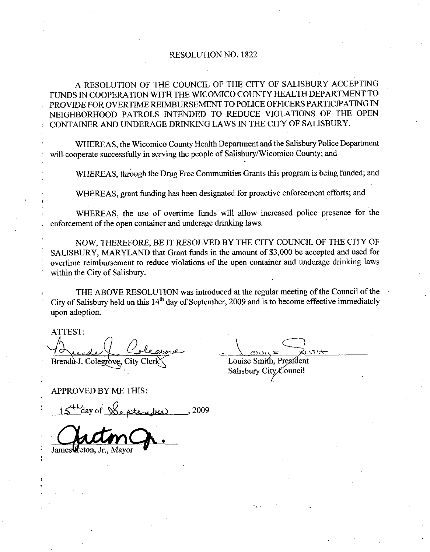## RESOLUTION NO. 1822

A RESOLUTION OF THE COUNCIL OF THE CITY OF SALISBURY ACCEPTING FUNDS IN COOPERATION WITH THE WICOMICO COUNTY HEALTH DEPARTMENT TO PROVIDE FOR OVERTIME REIMBURSEMENT TO POLICE OFFICERS PARTICIPATING IN NEIGHBORHOOD PATROLS INTENDED TO REDUCE VIOLATIONS OF THE OPEN CONTAINER AND UNDERAGE DRINKING LAWS IN THE CITY OF SALISBURY

WHEREAS the Wicomico County Health Department and the Salisbury Police Department will cooperate successfully in serving the people of Salisbury/Wicomico County; and

WHEREAS, through the Drug Free Communities Grants this program is being funded; and

WHEREAS, grant funding has been designated for proactive enforcement efforts; and

WHEREAS, the use of overtime funds will allow increased police presence for the enforcement of the open container and underage drinking laws

NOW, THEREFORE, BE IT RESOLVED BY THE CITY COUNCIL OF THE CITY OF SALISBURY, MARYLAND that Grant funds in the amount of \$3,000 be accepted and used for overtime reimbursement to reduce violations of the open container and underage drinking laws within the City of Salisbury.

THE ABOVE RESOLUTION was introduced at the regular meeting of the Council of the City of Salisbury held on this  $14<sup>th</sup>$  day of September, 2009 and is to become effective immediately upon adoption

ATTEST fieu Brenda J. Colegrove.

Louise Smith, President Salisbury City Council

APPROVED BY ME THIS

 $\frac{15^{4\omega_{\text{day of}}}\beta_{\text{e,}$ 

James *Heton*.